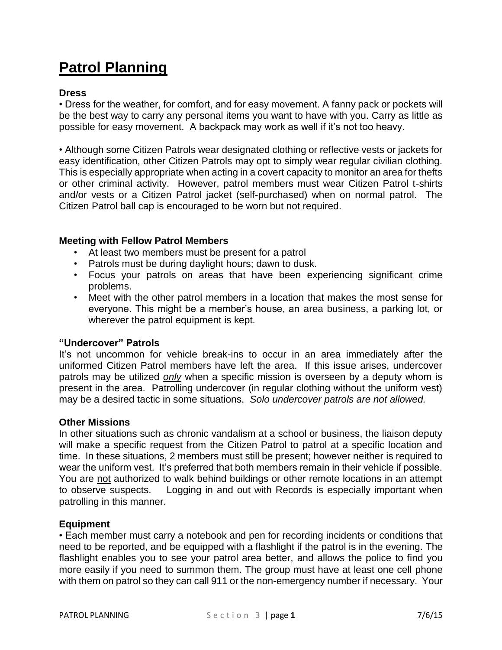# **Patrol Planning**

## **Dress**

• Dress for the weather, for comfort, and for easy movement. A fanny pack or pockets will be the best way to carry any personal items you want to have with you. Carry as little as possible for easy movement. A backpack may work as well if it's not too heavy.

• Although some Citizen Patrols wear designated clothing or reflective vests or jackets for easy identification, other Citizen Patrols may opt to simply wear regular civilian clothing. This is especially appropriate when acting in a covert capacity to monitor an area for thefts or other criminal activity. However, patrol members must wear Citizen Patrol t-shirts and/or vests or a Citizen Patrol jacket (self-purchased) when on normal patrol. The Citizen Patrol ball cap is encouraged to be worn but not required.

### **Meeting with Fellow Patrol Members**

- At least two members must be present for a patrol
- Patrols must be during daylight hours; dawn to dusk.
- Focus your patrols on areas that have been experiencing significant crime problems.
- Meet with the other patrol members in a location that makes the most sense for everyone. This might be a member's house, an area business, a parking lot, or wherever the patrol equipment is kept.

#### **"Undercover" Patrols**

It's not uncommon for vehicle break-ins to occur in an area immediately after the uniformed Citizen Patrol members have left the area. If this issue arises, undercover patrols may be utilized *only* when a specific mission is overseen by a deputy whom is present in the area. Patrolling undercover (in regular clothing without the uniform vest) may be a desired tactic in some situations. *Solo undercover patrols are not allowed.*

#### **Other Missions**

In other situations such as chronic vandalism at a school or business, the liaison deputy will make a specific request from the Citizen Patrol to patrol at a specific location and time. In these situations, 2 members must still be present; however neither is required to wear the uniform vest. It's preferred that both members remain in their vehicle if possible. You are not authorized to walk behind buildings or other remote locations in an attempt to observe suspects. Logging in and out with Records is especially important when patrolling in this manner.

#### **Equipment**

• Each member must carry a notebook and pen for recording incidents or conditions that need to be reported, and be equipped with a flashlight if the patrol is in the evening. The flashlight enables you to see your patrol area better, and allows the police to find you more easily if you need to summon them. The group must have at least one cell phone with them on patrol so they can call 911 or the non-emergency number if necessary. Your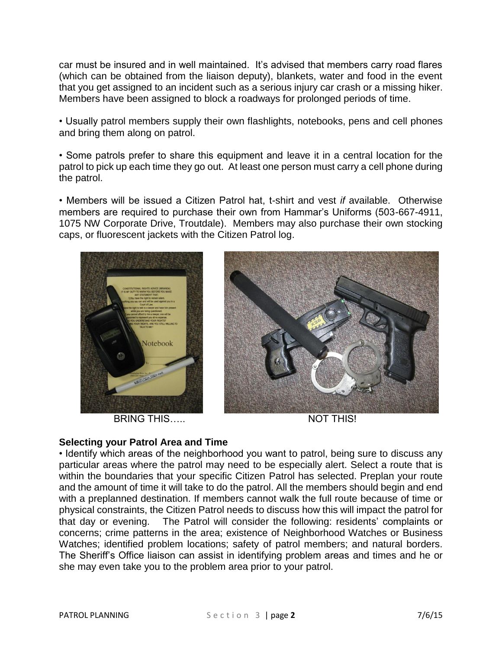car must be insured and in well maintained. It's advised that members carry road flares (which can be obtained from the liaison deputy), blankets, water and food in the event that you get assigned to an incident such as a serious injury car crash or a missing hiker. Members have been assigned to block a roadways for prolonged periods of time.

• Usually patrol members supply their own flashlights, notebooks, pens and cell phones and bring them along on patrol.

• Some patrols prefer to share this equipment and leave it in a central location for the patrol to pick up each time they go out. At least one person must carry a cell phone during the patrol.

• Members will be issued a Citizen Patrol hat, t-shirt and vest *if* available. Otherwise members are required to purchase their own from Hammar's Uniforms (503-667-4911, 1075 NW Corporate Drive, Troutdale). Members may also purchase their own stocking caps, or fluorescent jackets with the Citizen Patrol log.



BRING THIS….. NOT THIS!



## **Selecting your Patrol Area and Time**

• Identify which areas of the neighborhood you want to patrol, being sure to discuss any particular areas where the patrol may need to be especially alert. Select a route that is within the boundaries that your specific Citizen Patrol has selected. Preplan your route and the amount of time it will take to do the patrol. All the members should begin and end with a preplanned destination. If members cannot walk the full route because of time or physical constraints, the Citizen Patrol needs to discuss how this will impact the patrol for that day or evening. The Patrol will consider the following: residents' complaints or concerns; crime patterns in the area; existence of Neighborhood Watches or Business Watches; identified problem locations; safety of patrol members; and natural borders. The Sheriff's Office liaison can assist in identifying problem areas and times and he or she may even take you to the problem area prior to your patrol.